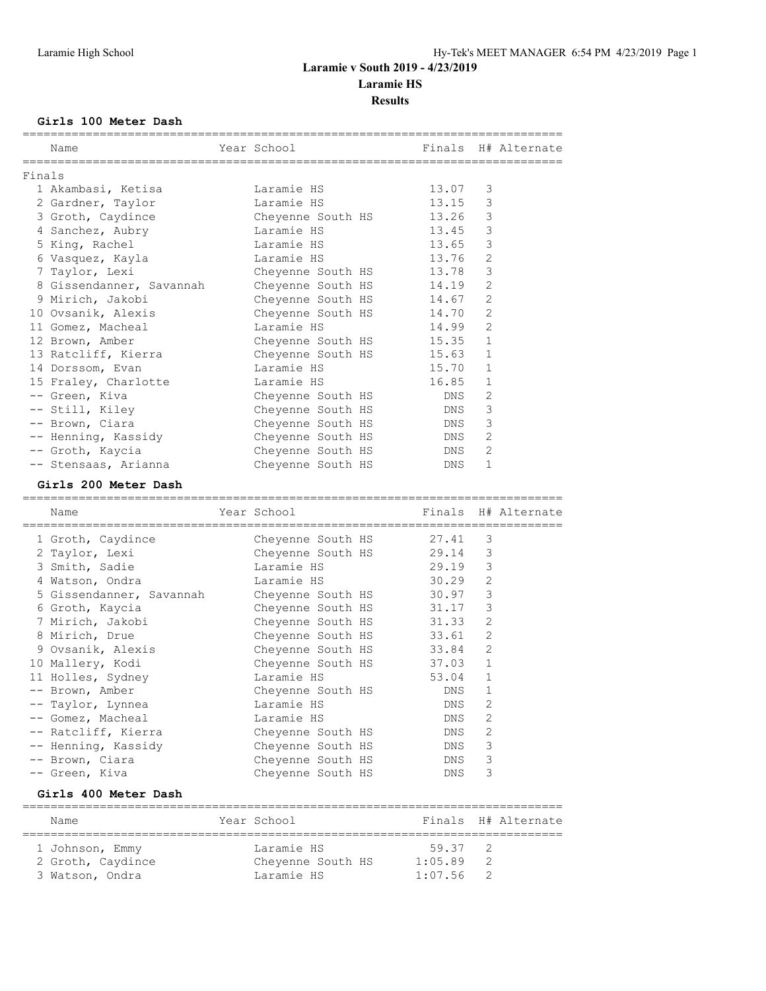# **Laramie v South 2019 - 4/23/2019**

**Laramie HS**

**Results**

### **Girls 100 Meter Dash**

|        | Name                                         | ============= | Year School<br>______________________________________ | Finals           | H# Alternate        |
|--------|----------------------------------------------|---------------|-------------------------------------------------------|------------------|---------------------|
| Finals |                                              |               |                                                       |                  |                     |
|        | 1 Akambasi, Ketisa                           |               | Laramie HS                                            | 13.07            | 3                   |
|        | 2 Gardner, Taylor                            |               | Laramie HS                                            | 13.15            | 3                   |
|        | 3 Groth, Caydince                            |               | Cheyenne South HS                                     | 13.26            | 3                   |
|        | 4 Sanchez, Aubry                             |               | Laramie HS                                            | 13.45            | 3                   |
|        | 5 King, Rachel                               |               | Laramie HS                                            | 13.65            | 3                   |
|        | 6 Vasquez, Kayla                             |               | Laramie HS                                            | 13.76            | $\overline{2}$      |
|        | 7 Taylor, Lexi                               |               | Cheyenne South HS                                     | 13.78            | 3                   |
|        | 8 Gissendanner, Savannah                     |               | Cheyenne South HS                                     | 14.19            | $\mathbf{2}$        |
|        | 9 Mirich, Jakobi                             |               | Cheyenne South HS                                     | 14.67            | 2                   |
|        | 10 Ovsanik, Alexis                           |               | Cheyenne South HS                                     | 14.70            | $\mathbf{2}$        |
|        | 11 Gomez, Macheal                            |               | Laramie HS                                            | 14.99            | 2                   |
|        | 12 Brown, Amber                              |               | Cheyenne South HS                                     | 15.35            | $\mathbf{1}$        |
|        | 13 Ratcliff, Kierra                          |               | Cheyenne South HS                                     | 15.63            | $\mathbf{1}$        |
|        | 14 Dorssom, Evan                             |               | Laramie HS                                            | 15.70            | $\mathbf{1}$        |
|        | 15 Fraley, Charlotte                         |               | Laramie HS                                            | 16.85            | 1                   |
|        | -- Green, Kiva                               |               | Cheyenne South HS                                     | DNS              | $\mathbf{2}$        |
|        | -- Still, Kiley                              |               | Cheyenne South HS                                     | DNS              | 3                   |
|        | -- Brown, Ciara                              |               | Cheyenne South HS                                     | DNS              | 3                   |
|        | -- Henning, Kassidy                          |               | Cheyenne South HS                                     | DNS              | $\mathbf{2}$        |
|        | -- Groth, Kaycia                             |               | Cheyenne South HS                                     | DNS              | 2                   |
|        | -- Stensaas, Arianna                         |               | Cheyenne South HS                                     | DNS.             | $\mathbf{1}$        |
|        | Girls 200 Meter Dash                         |               |                                                       |                  |                     |
|        | Name                                         |               | Year School                                           |                  | Finals H# Alternate |
|        |                                              |               |                                                       |                  |                     |
|        | 1 Groth, Caydince                            |               | Cheyenne South HS                                     | 27.41            | 3                   |
|        | 2 Taylor, Lexi                               |               | Cheyenne South HS                                     | 29.14            | 3                   |
|        | 3 Smith, Sadie                               |               | Laramie HS                                            | 29.19            | 3                   |
|        | 4 Watson, Ondra                              |               | Laramie HS                                            | 30.29            | $\mathbf{2}$        |
|        | 5 Gissendanner, Savannah                     |               | Cheyenne South HS                                     | 30.97            | 3                   |
|        | 6 Groth, Kaycia                              |               | Cheyenne South HS                                     | 31.17            | 3                   |
|        | 7 Mirich, Jakobi                             |               | Cheyenne South HS                                     | 31.33            | $\overline{2}$      |
|        | 8 Mirich, Drue                               |               | Cheyenne South HS                                     | 33.61            | $\mathbf{2}$        |
|        | 9 Ovsanik, Alexis                            |               | Cheyenne South HS                                     | 33.84            | 2                   |
|        | 10 Mallery, Kodi                             |               | Cheyenne South HS                                     | 37.03            | $\mathbf{1}$        |
|        | 11 Holles, Sydney                            |               | Laramie HS                                            | 53.04            | $\mathbf{1}$        |
|        | -- Brown, Amber                              |               | Cheyenne South HS                                     | <b>DNS</b>       | $\mathbf{1}$        |
|        | -- Taylor, Lynnea                            |               | Laramie HS                                            | DNS              | 2                   |
|        | -- Gomez, Macheal                            |               | Laramie HS                                            | DNS              | 2                   |
|        | -- Ratcliff, Kierra                          |               | Cheyenne South HS                                     | DNS              | 2                   |
|        | -- Henning, Kassidy                          |               | Cheyenne South HS                                     | DNS              | 3                   |
|        | -- Brown, Ciara                              |               | Cheyenne South HS                                     | DNS              | 3                   |
|        | -- Green, Kiva                               |               | Cheyenne South HS                                     | DNS              | 3                   |
|        | Girls 400 Meter Dash                         |               |                                                       |                  |                     |
|        |                                              |               |                                                       |                  |                     |
|        | ====================================<br>Name |               | =============<br>Year School                          | Finals           | H# Alternate        |
|        |                                              |               |                                                       |                  |                     |
|        | 1 Johnson, Emmy<br>2 Groth, Caydince         |               | Laramie HS<br>Cheyenne South HS                       | 59.37<br>1:05.89 | 2<br>2              |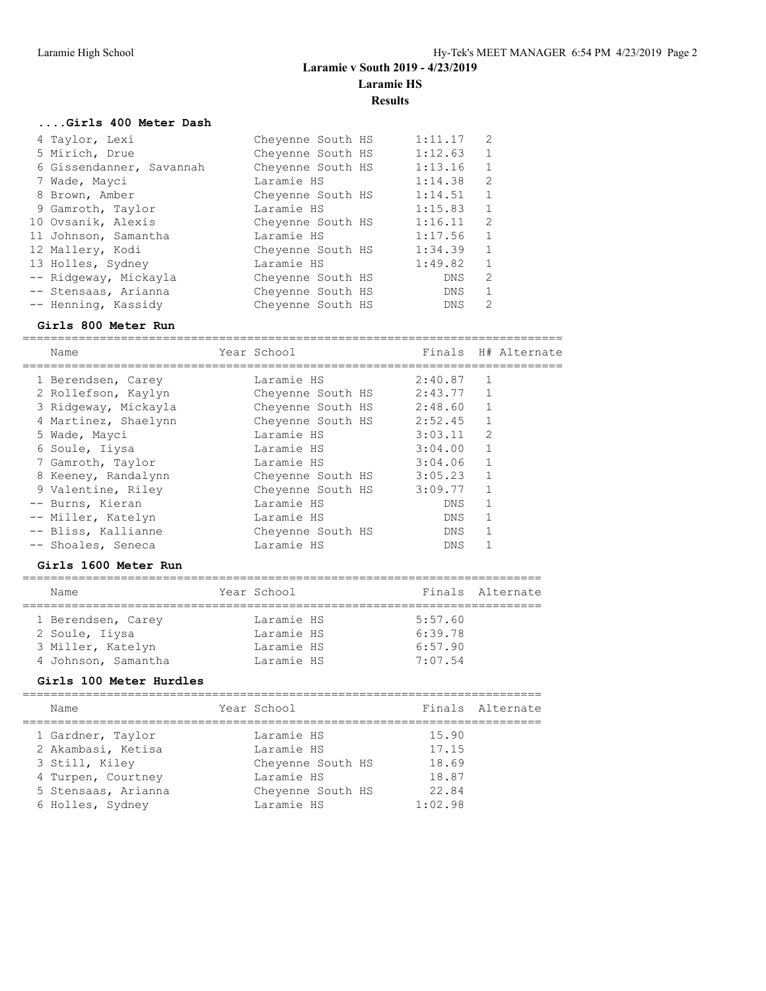**Results**

### **....Girls 400 Meter Dash**

| 4 Taylor, Lexi           | Cheyenne South HS | 1:11.17    | 2              |
|--------------------------|-------------------|------------|----------------|
| 5 Mirich, Drue           | Cheyenne South HS | 1:12.63 1  |                |
| 6 Gissendanner, Savannah | Cheyenne South HS | 1:13.16    | $\mathbf{1}$   |
| 7 Wade, Mayci            | Laramie HS        | 1:14.38    | 2              |
| 8 Brown, Amber           | Cheyenne South HS | 1:14.51    | $\overline{1}$ |
| 9 Gamroth, Taylor        | Laramie HS        | 1:15.83    | $\mathbf{1}$   |
| 10 Ovsanik, Alexis       | Cheyenne South HS | 1:16.11    | $\overline{2}$ |
| 11 Johnson, Samantha     | Laramie HS        | 1:17.56    | $\mathbf{1}$   |
| 12 Mallery, Kodi         | Cheyenne South HS | 1:34.39    | $\mathbf{1}$   |
| 13 Holles, Sydney        | Laramie HS        | 1:49.82    | $\mathbf{1}$   |
| -- Ridgeway, Mickayla    | Cheyenne South HS | DNS        | $\overline{2}$ |
| -- Stensaas, Arianna     | Cheyenne South HS | DNS.       | $\mathbf{1}$   |
| -- Henning, Kassidy      | Cheyenne South HS | <b>DNS</b> | 2              |

### **Girls 800 Meter Run**

============================================================================= Name Year School Finals H# Alternate

| <b>Nallie</b>        | TAGT PCHOOT       |             |                | filldis – n# Alternate |
|----------------------|-------------------|-------------|----------------|------------------------|
| 1 Berendsen, Carey   | Laramie HS        | 2:40.87     |                |                        |
| 2 Rollefson, Kaylyn  | Cheyenne South HS | $2:43.77$ 1 |                |                        |
| 3 Ridgeway, Mickayla | Cheyenne South HS | 2:48.60     |                |                        |
| 4 Martinez, Shaelynn | Chevenne South HS | 2:52.45     | $\mathbf{1}$   |                        |
| 5 Wade, Mayci        | Laramie HS        | 3:03.11     | $\overline{2}$ |                        |
| 6 Soule, Iiysa       | Laramie HS        | 3:04.00     | $\mathbf{1}$   |                        |
| 7 Gamroth, Taylor    | Laramie HS        | 3:04.06     |                |                        |
| 8 Keeney, Randalynn  | Chevenne South HS | 3:05.23     | 1              |                        |
| 9 Valentine, Riley   | Cheyenne South HS | 3:09.77     |                |                        |
| -- Burns, Kieran     | Laramie HS        | DNS         |                |                        |
| -- Miller, Katelyn   | Laramie HS        | DNS         |                |                        |
| -- Bliss, Kallianne  | Cheyenne South HS | DNS         |                |                        |
| -- Shoales, Seneca   | Laramie HS        | <b>DNS</b>  |                |                        |

### **Girls 1600 Meter Run**

| Name                | Year School |         | Finals Alternate |
|---------------------|-------------|---------|------------------|
|                     |             |         |                  |
| 1 Berendsen, Carey  | Laramie HS  | 5:57.60 |                  |
| 2 Soule, Iiysa      | Laramie HS  | 6:39.78 |                  |
| 3 Miller, Katelyn   | Laramie HS  | 6:57.90 |                  |
| 4 Johnson, Samantha | Laramie HS  | 7:07.54 |                  |
|                     |             |         |                  |

### **Girls 100 Meter Hurdles**

| Name                | Year School       |         | Finals Alternate |
|---------------------|-------------------|---------|------------------|
| 1 Gardner, Taylor   | Laramie HS        | 15.90   |                  |
| 2 Akambasi, Ketisa  | Laramie HS        | 17.15   |                  |
| 3 Still, Kiley      | Cheyenne South HS | 18.69   |                  |
| 4 Turpen, Courtney  | Laramie HS        | 18.87   |                  |
| 5 Stensaas, Arianna | Cheyenne South HS | 22.84   |                  |
| 6 Holles, Sydney    | Laramie HS        | 1:02.98 |                  |
|                     |                   |         |                  |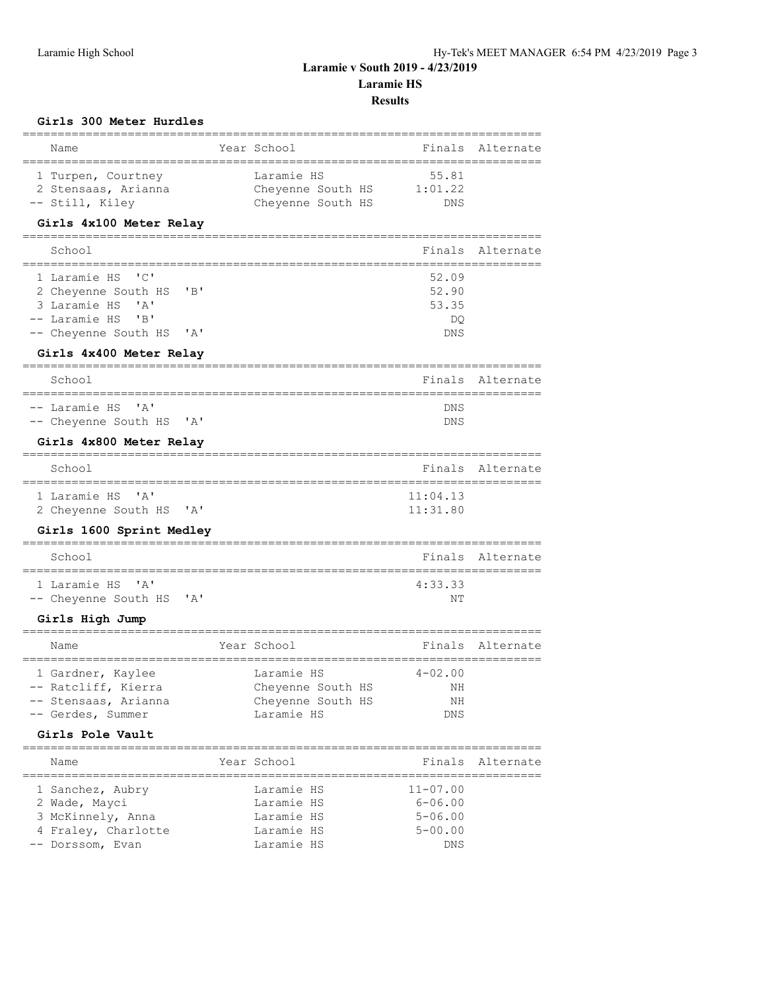**Laramie v South 2019 - 4/23/2019**

**Laramie HS**

### **Results**

### **Girls 300 Meter Hurdles**

| ==========================                                                                                                                                     |                                                                    |                                       |                            |
|----------------------------------------------------------------------------------------------------------------------------------------------------------------|--------------------------------------------------------------------|---------------------------------------|----------------------------|
| Name<br>;==============================                                                                                                                        | Year School                                                        | Finals                                | Alternate                  |
| 1 Turpen, Courtney<br>2 Stensaas, Arianna<br>-- Still, Kiley                                                                                                   | Laramie HS<br>Cheyenne South HS 1:01.22<br>Cheyenne South HS       | 55.81<br>DNS                          |                            |
| Girls 4x100 Meter Relay                                                                                                                                        |                                                                    |                                       |                            |
| ====================================<br>School                                                                                                                 |                                                                    | Finals                                | Alternate                  |
| 1 Laramie HS<br>"C"<br>2 Cheyenne South HS<br>"B"<br>3 Laramie HS<br>$^{\prime}$ A $^{\prime}$<br>-- Laramie HS<br>'B'<br>-- Cheyenne South HS<br>$\mathsf{A}$ |                                                                    | 52.09<br>52.90<br>53.35<br>DQ.<br>DNS |                            |
| Girls 4x400 Meter Relay                                                                                                                                        |                                                                    |                                       |                            |
| School<br>=============                                                                                                                                        |                                                                    | Finals                                | Alternate                  |
| -- Laramie HS<br>$^{\prime}$ A $^{\prime}$<br>-- Cheyenne South HS<br>$\mathsf{A}$                                                                             |                                                                    | DNS<br>DNS                            |                            |
| Girls 4x800 Meter Relay<br>---------------                                                                                                                     |                                                                    |                                       |                            |
| School<br>=============                                                                                                                                        |                                                                    | Finals                                | Alternate<br>:============ |
| 1 Laramie HS<br>$^{\prime}$ A $^{\prime}$<br>2 Cheyenne South HS<br>$^{\prime}$ A $^{\prime}$                                                                  |                                                                    | 11:04.13<br>11:31.80                  |                            |
| Girls 1600 Sprint Medley<br>============================                                                                                                       |                                                                    |                                       |                            |
| School<br>=================                                                                                                                                    |                                                                    | Finals                                | Alternate<br>============= |
| 1 Laramie HS<br>$^{\prime}$ A $^{\prime}$<br>-- Cheyenne South HS<br>$^{\prime}$ A $^{\prime}$                                                                 |                                                                    | 4:33.33<br>ΝT                         |                            |
| Girls High Jump<br>,,,,,,,,,,,,,,,,,,,,,,,,,,                                                                                                                  |                                                                    | ============                          |                            |
| Name                                                                                                                                                           | Year School                                                        | Finals                                | Alternate                  |
| 1 Gardner, Kaylee<br>-- Ratcliff, Kierra<br>-- Stensaas, Arianna<br>-- Gerdes, Summer<br>Girls Pole Vault                                                      | Laramie HS<br>Cheyenne South HS<br>Cheyenne South HS<br>Laramie HS | $4 - 02.00$<br>NH<br>NH<br>DNS        |                            |
| =============================<br>Name                                                                                                                          | Year School                                                        | Finals                                | Alternate                  |
| 1 Sanchez, Aubry<br>2 Wade, Mayci                                                                                                                              | Laramie HS<br>Laramie HS                                           | $11 - 07.00$<br>$6 - 06.00$           | =============              |

 3 McKinnely, Anna Laramie HS 5-06.00 4 Fraley, Charlotte Laramie HS 5-00.00 -- Dorssom, Evan Laramie HS DNS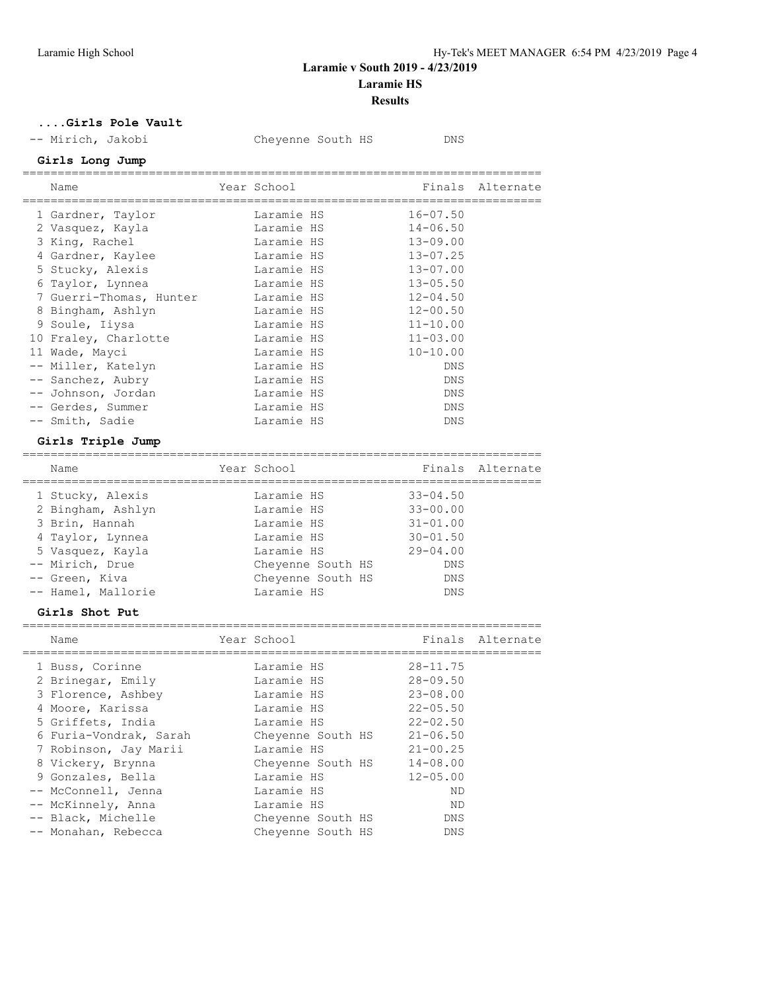**Results**

**....Girls Pole Vault**

-- Mirich, Jakobi Cheyenne South HS DNS

### **Girls Long Jump**

| Name                    | Year School |  | Finals       | Alternate |
|-------------------------|-------------|--|--------------|-----------|
| 1 Gardner, Taylor       | Laramie HS  |  | $16 - 07.50$ |           |
| 2 Vasquez, Kayla        | Laramie HS  |  | $14 - 06.50$ |           |
| 3 King, Rachel          | Laramie HS  |  | $13 - 09.00$ |           |
| 4 Gardner, Kaylee       | Laramie HS  |  | $13 - 07.25$ |           |
| 5 Stucky, Alexis        | Laramie HS  |  | $13 - 07.00$ |           |
| 6 Taylor, Lynnea        | Laramie HS  |  | $13 - 05.50$ |           |
| 7 Guerri-Thomas, Hunter | Laramie HS  |  | $12 - 04.50$ |           |
| 8 Bingham, Ashlyn       | Laramie HS  |  | $12 - 00.50$ |           |
| 9 Soule, Iiysa          | Laramie HS  |  | $11 - 10.00$ |           |
| 10 Fraley, Charlotte    | Laramie HS  |  | $11 - 03.00$ |           |
| 11 Wade, Mayci          | Laramie HS  |  | $10 - 10.00$ |           |
| -- Miller, Katelyn      | Laramie HS  |  | <b>DNS</b>   |           |
| -- Sanchez, Aubry       | Laramie HS  |  | DNS          |           |
| -- Johnson, Jordan      | Laramie HS  |  | <b>DNS</b>   |           |
| -- Gerdes, Summer       | Laramie HS  |  | <b>DNS</b>   |           |
| -- Smith, Sadie         | Laramie HS  |  | <b>DNS</b>   |           |

# **Girls Triple Jump**

| Name               | Year School       |              | Finals Alternate |
|--------------------|-------------------|--------------|------------------|
| 1 Stucky, Alexis   | Laramie HS        | $33 - 04.50$ |                  |
| 2 Bingham, Ashlyn  | Laramie HS        | $33 - 00.00$ |                  |
| 3 Brin, Hannah     | Laramie HS        | $31 - 01.00$ |                  |
| 4 Taylor, Lynnea   | Laramie HS        | $30 - 01.50$ |                  |
| 5 Vasquez, Kayla   | Laramie HS        | $29 - 04.00$ |                  |
| -- Mirich, Drue    | Chevenne South HS | <b>DNS</b>   |                  |
| -- Green, Kiva     | Cheyenne South HS | <b>DNS</b>   |                  |
| -- Hamel, Mallorie | Laramie HS        | DNS          |                  |
|                    |                   |              |                  |

### **Girls Shot Put**

| Name                   | Year School       |              | Finals Alternate |
|------------------------|-------------------|--------------|------------------|
| 1 Buss, Corinne        | Laramie HS        | $28 - 11.75$ |                  |
| 2 Brinegar, Emily      | Laramie HS        | $28 - 09.50$ |                  |
| 3 Florence, Ashbey     | Laramie HS        | $23 - 08.00$ |                  |
| 4 Moore, Karissa       | Laramie HS        | $22 - 05.50$ |                  |
| 5 Griffets, India      | Laramie HS        | $22 - 02.50$ |                  |
| 6 Furia-Vondrak, Sarah | Cheyenne South HS | $21 - 06.50$ |                  |
| 7 Robinson, Jay Marii  | Laramie HS        | $21 - 00.25$ |                  |
| 8 Vickery, Brynna      | Cheyenne South HS | $14 - 08.00$ |                  |
| 9 Gonzales, Bella      | Laramie HS        | $12 - 05.00$ |                  |
| -- McConnell, Jenna    | Laramie HS        | ND           |                  |
| -- McKinnely, Anna     | Laramie HS        | ND           |                  |
| -- Black, Michelle     | Cheyenne South HS | DNS          |                  |
| -- Monahan, Rebecca    | Chevenne South HS | <b>DNS</b>   |                  |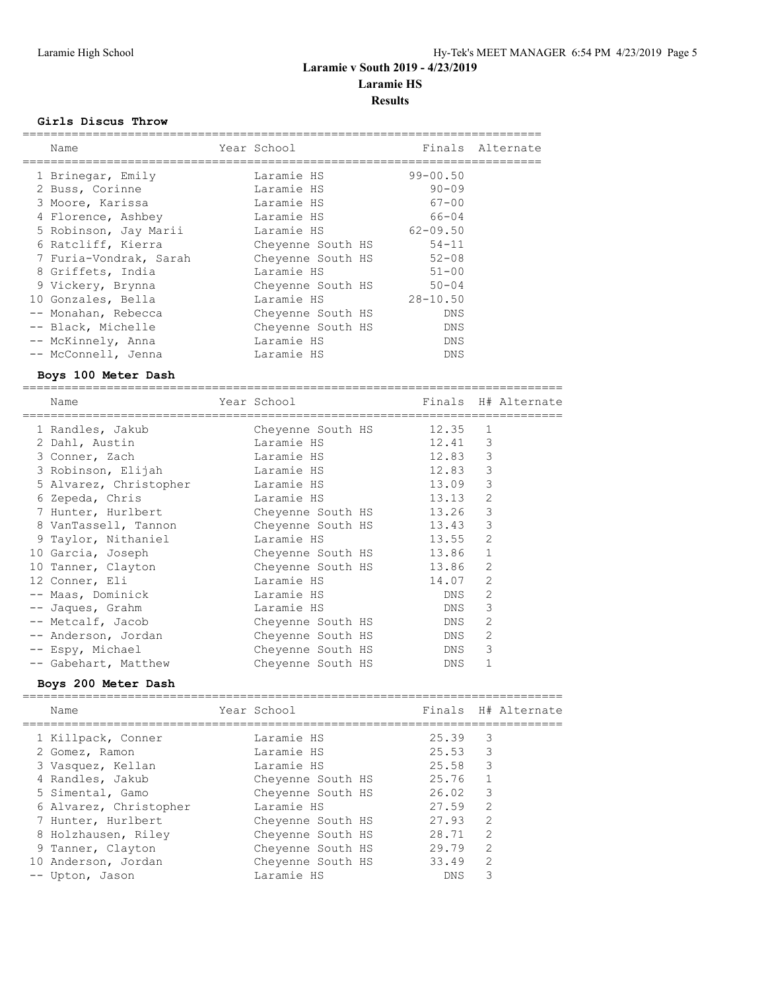#### **Results**

#### **Girls Discus Throw**

| Name                   | Year School       |              | Finals Alternate |
|------------------------|-------------------|--------------|------------------|
| 1 Brinegar, Emily      | Laramie HS        | $99 - 00.50$ |                  |
| 2 Buss, Corinne        | Laramie HS        | $90 - 09$    |                  |
| 3 Moore, Karissa       | Laramie HS        | $67 - 00$    |                  |
| 4 Florence, Ashbey     | Laramie HS        | $66 - 04$    |                  |
| 5 Robinson, Jay Marii  | Laramie HS        | $62 - 09.50$ |                  |
| 6 Ratcliff, Kierra     | Cheyenne South HS | $54 - 11$    |                  |
| 7 Furia-Vondrak, Sarah | Cheyenne South HS | $52 - 08$    |                  |
| 8 Griffets, India      | Laramie HS        | $51 - 00$    |                  |
| 9 Vickery, Brynna      | Cheyenne South HS | $50 - 04$    |                  |
| 10 Gonzales, Bella     | Laramie HS        | $28 - 10.50$ |                  |
| -- Monahan, Rebecca    | Cheyenne South HS | DNS          |                  |
| -- Black, Michelle     | Cheyenne South HS | DNS          |                  |
| -- McKinnely, Anna     | Laramie HS        | DNS          |                  |
| -- McConnell, Jenna    | Laramie HS        | <b>DNS</b>   |                  |

#### **Boys 100 Meter Dash**

============================================================================= Name The Year School Controll of Finals H# Alternate ============================================================================= 1 Randles, Jakub Cheyenne South HS 12.35 1 2 Dahl, Austin Laramie HS 12.41 3 3 Conner, Zach Laramie HS 12.83 3 3 Robinson, Elijah Laramie HS 12.83 3 5 Alvarez, Christopher Laramie HS 13.09 3 6 Zepeda, Chris Laramie HS 13.13 2 7 Hunter, Hurlbert Cheyenne South HS 13.26 3 8 VanTassell, Tannon Cheyenne South HS 13.43 3 9 Taylor, Nithaniel Laramie HS 13.55 2 10 Garcia, Joseph Cheyenne South HS 13.86 1 10 Tanner, Clayton Cheyenne South HS 13.86 2 12 Conner, Eli Laramie HS 14.07 2 -- Maas, Dominick Laramie HS DNS 2 -- Jaques, Grahm Laramie HS DNS 3 -- Metcalf, Jacob Cheyenne South HS DNS 2 -- Anderson, Jordan Cheyenne South HS DNS 2 -- Espy, Michael Cheyenne South HS DNS 3 -- Gabehart, Matthew Cheyenne South HS DNS 1

#### **Boys 200 Meter Dash**

============================================================================= Name Tear School Tear School Finals H# Alternate ============================================================================= 1 Killpack, Conner Laramie HS 25.39 3 2 Gomez, Ramon Laramie HS 25.53 3 3 Vasquez, Kellan Laramie HS 25.58 3 4 Randles, Jakub Cheyenne South HS 25.76 1 5 Simental, Gamo Cheyenne South HS 26.02 3 6 Alvarez, Christopher Laramie HS 27.59 2 7 Hunter, Hurlbert Cheyenne South HS 27.93 2 8 Holzhausen, Riley Cheyenne South HS 28.71 2 9 Tanner, Clayton Cheyenne South HS 29.79 2 10 Anderson, Jordan Cheyenne South HS 33.49 2 -- Upton, Jason Laramie HS DNS 3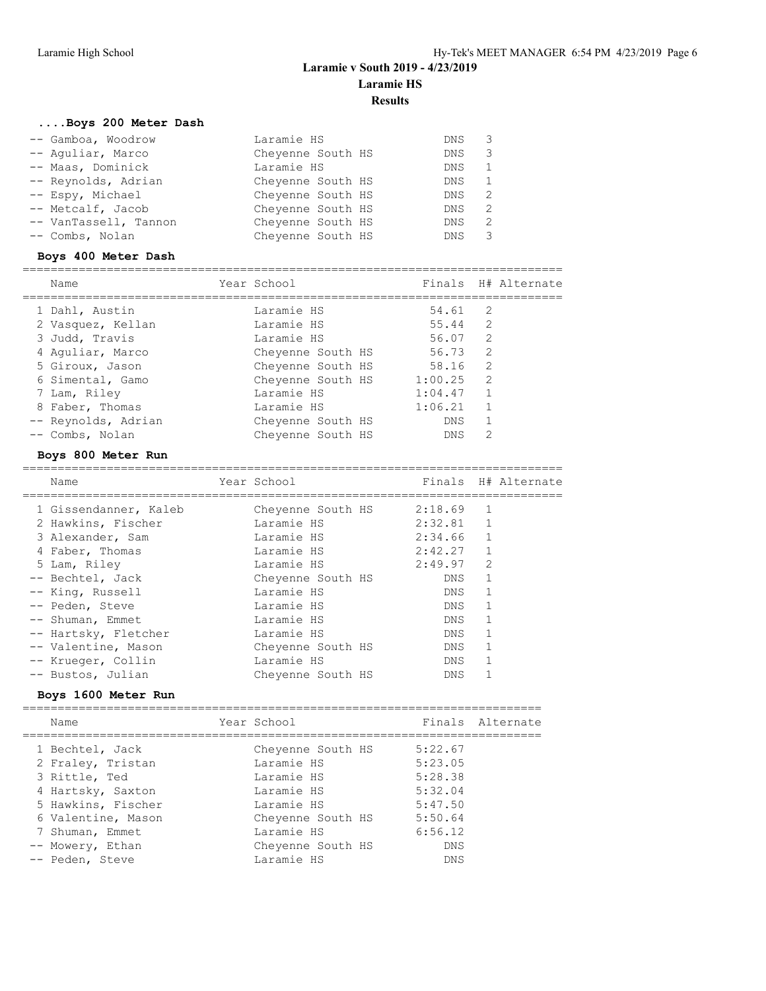**Results**

### **....Boys 200 Meter Dash**

| -- Gamboa, Woodrow    | Laramie HS        | DNS <sub>3</sub> |                |
|-----------------------|-------------------|------------------|----------------|
| -- Aquliar, Marco     | Cheyenne South HS | DNS.             | 3              |
| -- Maas, Dominick     | Laramie HS        | DNS.             |                |
| -- Reynolds, Adrian   | Cheyenne South HS | DNS              | $\overline{1}$ |
| -- Espy, Michael      | Cheyenne South HS | DNS              | - 2            |
| -- Metcalf, Jacob     | Cheyenne South HS | DNS              | $\overline{2}$ |
| -- VanTassell, Tannon | Cheyenne South HS | DNS              | - 2            |
| -- Combs, Nolan       | Cheyenne South HS | DNS.             |                |

### **Boys 400 Meter Dash**

| Name                | Year School       |         |                | Finals H# Alternate |
|---------------------|-------------------|---------|----------------|---------------------|
| 1 Dahl, Austin      | Laramie HS        | 54.61   | -2             |                     |
| 2 Vasquez, Kellan   | Laramie HS        | 55.44   | 2              |                     |
| 3 Judd, Travis      | Laramie HS        | 56.07   | $\mathcal{L}$  |                     |
| 4 Aquliar, Marco    | Cheyenne South HS | 56.73   | 2              |                     |
| 5 Giroux, Jason     | Cheyenne South HS | 58.16   | 2              |                     |
| 6 Simental, Gamo    | Cheyenne South HS | 1:00.25 | 2              |                     |
| 7 Lam, Riley        | Laramie HS        | 1:04.47 | $\overline{1}$ |                     |
| 8 Faber, Thomas     | Laramie HS        | 1:06.21 | $\overline{1}$ |                     |
| -- Reynolds, Adrian | Cheyenne South HS | DNS     |                |                     |
| -- Combs, Nolan     | Chevenne South HS | DNS     | 2              |                     |

#### **Boys 800 Meter Run**

| Name                  | Year School       |         |               | Finals H# Alternate |
|-----------------------|-------------------|---------|---------------|---------------------|
| 1 Gissendanner, Kaleb | Chevenne South HS | 2:18.69 | 1             |                     |
| 2 Hawkins, Fischer    | Laramie HS        | 2:32.81 | $\mathbf{1}$  |                     |
| 3 Alexander, Sam      | Laramie HS        | 2:34.66 | 1             |                     |
| 4 Faber, Thomas       | Laramie HS        | 2:42.27 |               |                     |
| 5 Lam, Riley          | Laramie HS        | 2:49.97 | $\mathcal{P}$ |                     |
| -- Bechtel, Jack      | Cheyenne South HS | DNS     |               |                     |
| -- King, Russell      | Laramie HS        | DNS     |               |                     |
| -- Peden, Steve       | Laramie HS        | DNS     |               |                     |
| -- Shuman, Emmet      | Laramie HS        | DNS     |               |                     |
| -- Hartsky, Fletcher  | Laramie HS        | DNS     |               |                     |
| -- Valentine, Mason   | Cheyenne South HS | DNS     |               |                     |
| -- Krueger, Collin    | Laramie HS        | DNS     |               |                     |
| -- Bustos, Julian     | Chevenne South HS | DNS     |               |                     |
|                       |                   |         |               |                     |

# **Boys 1600 Meter Run**

========================================================================== Name Year School Finals Alternate ========================================================================== 1 Bechtel, Jack Cheyenne South HS 5:22.67 2 Fraley, Tristan Laramie HS 5:23.05 3 Rittle, Ted Laramie HS 5:28.38

| 3 KITTIE, TEQ      | Laramie hs        | <u>ు:∠ర.ుర</u> |
|--------------------|-------------------|----------------|
| 4 Hartsky, Saxton  | Laramie HS        | 5:32.04        |
| 5 Hawkins, Fischer | Laramie HS        | 5:47.50        |
| 6 Valentine, Mason | Chevenne South HS | 5:50.64        |
| 7 Shuman, Emmet    | Laramie HS        | 6:56.12        |
| -- Mowery, Ethan   | Chevenne South HS | DNS.           |
| -- Peden, Steve    | Laramie HS        | DNS.           |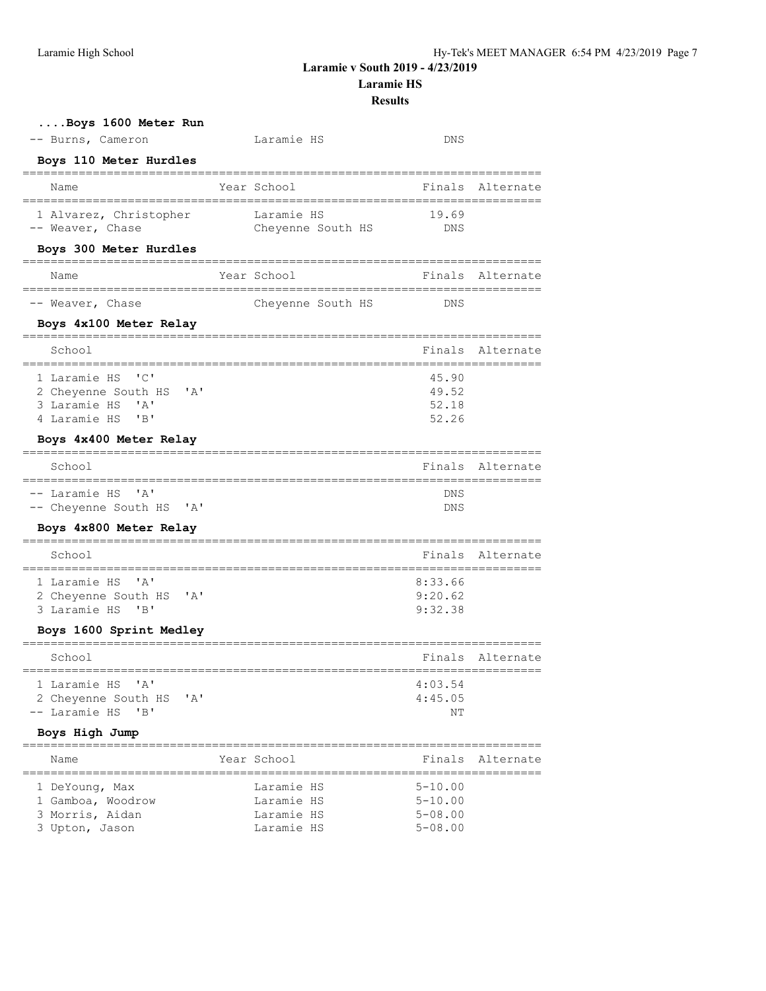3 Upton, Jason

**Laramie v South 2019 - 4/23/2019**

**Laramie HS**

**Results**

| Boys 1600 Meter Run<br>-- Burns, Cameron                                                                                                                                              | Laramie HS                                           | DNS                                                              |                  |
|---------------------------------------------------------------------------------------------------------------------------------------------------------------------------------------|------------------------------------------------------|------------------------------------------------------------------|------------------|
| Boys 110 Meter Hurdles                                                                                                                                                                |                                                      |                                                                  |                  |
| Name                                                                                                                                                                                  | Year School                                          | Finals                                                           | Alternate        |
| 1 Alvarez, Christopher<br>-- Weaver, Chase                                                                                                                                            | Laramie HS<br>Cheyenne South HS                      | 19.69<br>DNS                                                     |                  |
| Boys 300 Meter Hurdles                                                                                                                                                                |                                                      |                                                                  |                  |
| Name                                                                                                                                                                                  | Year School                                          | Finals                                                           | Alternate        |
| -- Weaver, Chase                                                                                                                                                                      | Cheyenne South HS                                    | DNS                                                              |                  |
| Boys 4x100 Meter Relay                                                                                                                                                                |                                                      |                                                                  |                  |
| =========================<br>School                                                                                                                                                   |                                                      | Finals                                                           | Alternate        |
| =================<br>1 Laramie HS<br>$\cdot$ $\circ$ $\cdot$<br>2 Cheyenne South HS<br>$^{\prime}$ A $^{\prime}$<br>3 Laramie HS 'A'<br>4 Laramie HS<br>"B"<br>Boys 4x400 Meter Relay | ------------------------------                       | 45.90<br>49.52<br>52.18<br>52.26                                 | ================ |
| ========<br>, , , , , , , , , , , , , , , , ,<br>School                                                                                                                               |                                                      | Finals                                                           | Alternate        |
| -- Laramie HS 'A'<br>-- Cheyenne South HS 'A'<br>Boys 4x800 Meter Relay                                                                                                               |                                                      | DNS<br>DNS                                                       |                  |
| School                                                                                                                                                                                |                                                      |                                                                  | Finals Alternate |
| 1 Laramie HS 'A'<br>2 Cheyenne South HS 'A'<br>3 Laramie HS<br>'B'<br>Boys 1600 Sprint Medley                                                                                         |                                                      | 8:33.66<br>9:20.62<br>9:32.38                                    |                  |
| School                                                                                                                                                                                |                                                      |                                                                  | Finals Alternate |
| ==========================<br>1 Laramie HS 'A'<br>2 Cheyenne South HS 'A'<br>-- Laramie HS 'B'                                                                                        |                                                      | ====================================<br>4:03.54<br>4:45.05<br>NΤ |                  |
| Boys High Jump                                                                                                                                                                        |                                                      |                                                                  |                  |
| Name                                                                                                                                                                                  | Year School                                          | Finals                                                           | Alternate        |
| 1 DeYoung, Max<br>1 Gamboa, Woodrow<br>3 Morris, Aidan<br>3 Upton, Jason                                                                                                              | Laramie HS<br>Laramie HS<br>Laramie HS<br>Laramie HS | $5 - 10.00$<br>$5 - 10.00$<br>$5 - 08.00$<br>$5 - 08.00$         |                  |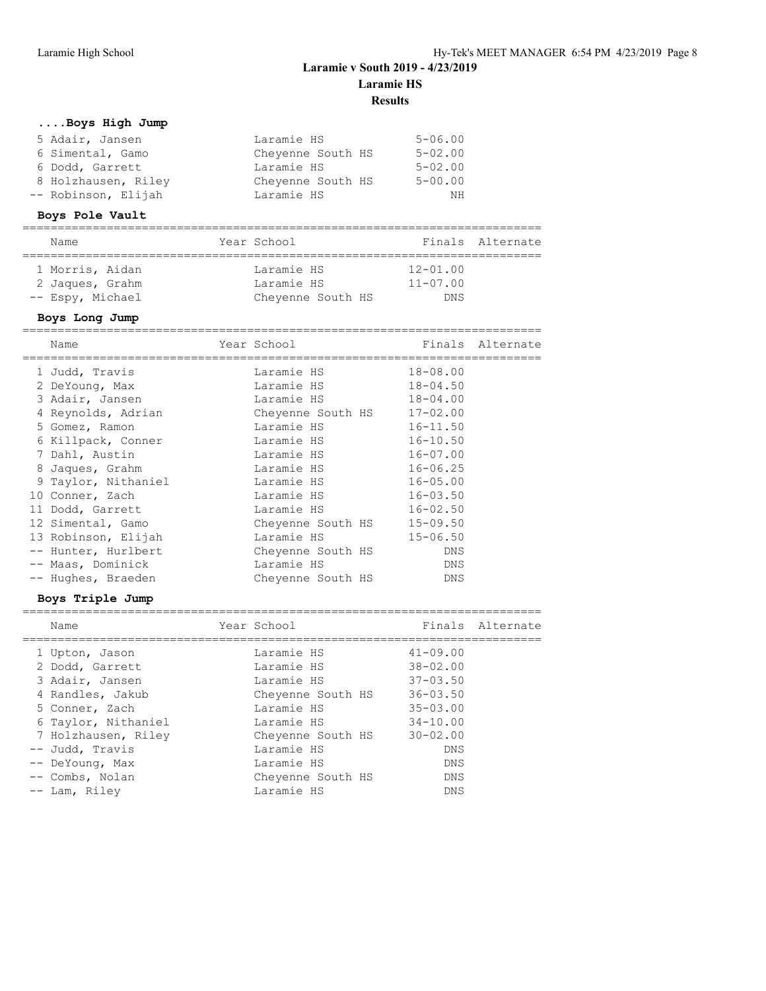**Results**

## **....Boys High Jump**

| 5 Adair, Jansen     | Laramie HS        | $5 - 06.00$ |
|---------------------|-------------------|-------------|
| 6 Simental, Gamo    | Chevenne South HS | $5 - 02.00$ |
| 6 Dodd, Garrett     | Laramie HS        | $5 - 02.00$ |
| 8 Holzhausen, Riley | Chevenne South HS | $5 - 00.00$ |
| -- Robinson, Elijah | Laramie HS        | NΗ          |

### **Boys Pole Vault**

| Name             | Year School       |              | Finals Alternate |
|------------------|-------------------|--------------|------------------|
| 1 Morris, Aidan  | Laramie HS        | $12 - 01.00$ |                  |
| 2 Jaques, Grahm  | Laramie HS        | $11 - 07.00$ |                  |
| -- Espy, Michael | Cheyenne South HS | <b>DNS</b>   |                  |

### **Boys Long Jump**

| Name                | Year School                |              | Finals Alternate |
|---------------------|----------------------------|--------------|------------------|
| 1 Judd, Travis      | Laramie HS                 | $18 - 08.00$ |                  |
| 2 DeYoung, Max      | Laramie HS                 | $18 - 04.50$ |                  |
| 3 Adair, Jansen     | Laramie HS                 | $18 - 04.00$ |                  |
| 4 Reynolds, Adrian  | Cheyenne South HS 17-02.00 |              |                  |
| 5 Gomez, Ramon      | Laramie HS                 | $16 - 11.50$ |                  |
| 6 Killpack, Conner  | Laramie HS                 | $16 - 10.50$ |                  |
| 7 Dahl, Austin      | Laramie HS                 | $16 - 07.00$ |                  |
| 8 Jaques, Grahm     | Laramie HS                 | $16 - 06.25$ |                  |
| 9 Taylor, Nithaniel | Laramie HS                 | $16 - 05.00$ |                  |
| 10 Conner, Zach     | Laramie HS                 | $16 - 03.50$ |                  |
| 11 Dodd, Garrett    | Laramie HS                 | $16 - 02.50$ |                  |
| 12 Simental, Gamo   | Cheyenne South HS          | $15 - 09.50$ |                  |
| 13 Robinson, Elijah | Laramie HS                 | $15 - 06.50$ |                  |
| -- Hunter, Hurlbert | Cheyenne South HS          | DNS          |                  |
| -- Maas, Dominick   | Laramie HS                 | DNS          |                  |
| -- Hughes, Braeden  | Chevenne South HS          | DNS          |                  |

### **Boys Triple Jump**

| Name                | Year School       |              | Finals Alternate |
|---------------------|-------------------|--------------|------------------|
| 1 Upton, Jason      | Laramie HS        | $41 - 09.00$ |                  |
| 2 Dodd, Garrett     | Laramie HS        | $38 - 02.00$ |                  |
| 3 Adair, Jansen     | Laramie HS        | $37 - 03.50$ |                  |
| 4 Randles, Jakub    | Cheyenne South HS | $36 - 03.50$ |                  |
| 5 Conner, Zach      | Laramie HS        | $35 - 03.00$ |                  |
| 6 Taylor, Nithaniel | Laramie HS        | $34 - 10.00$ |                  |
| 7 Holzhausen, Riley | Chevenne South HS | $30 - 02.00$ |                  |
| -- Judd, Travis     | Laramie HS        | <b>DNS</b>   |                  |
| -- DeYoung, Max     | Laramie HS        | <b>DNS</b>   |                  |
| -- Combs, Nolan     | Cheyenne South HS | <b>DNS</b>   |                  |
| -- Lam, Rilev       | Laramie HS        | DNS          |                  |

==========================================================================